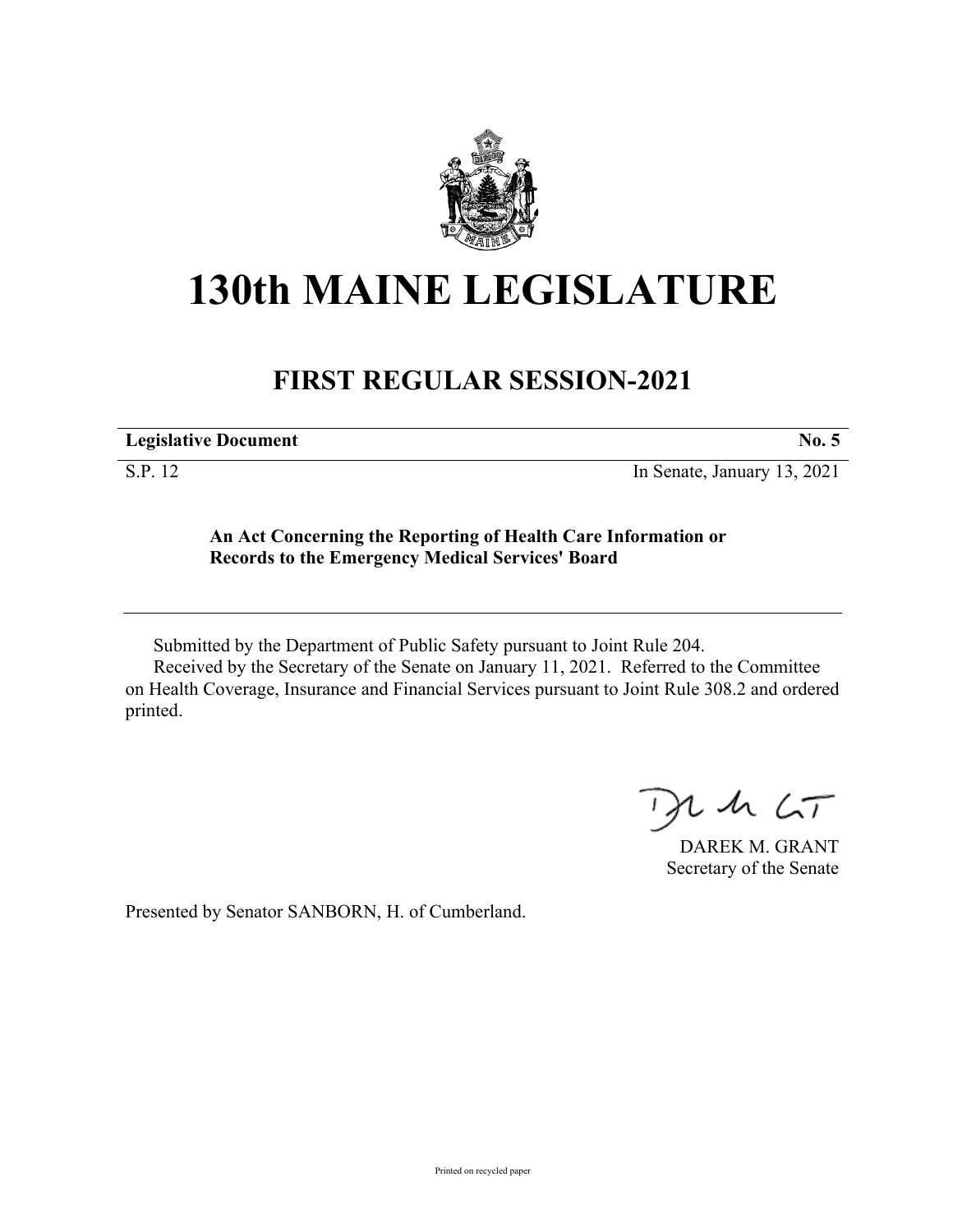

## **130th MAINE LEGISLATURE**

## **FIRST REGULAR SESSION-2021**

| <b>Legislative Document</b> |  |
|-----------------------------|--|
|                             |  |

S.P. 12 In Senate, January 13, 2021

## **An Act Concerning the Reporting of Health Care Information or Records to the Emergency Medical Services' Board**

Submitted by the Department of Public Safety pursuant to Joint Rule 204.

Received by the Secretary of the Senate on January 11, 2021. Referred to the Committee on Health Coverage, Insurance and Financial Services pursuant to Joint Rule 308.2 and ordered printed.

 $2.42 < \tau$  $\rightarrow$ 

DAREK M. GRANT Secretary of the Senate

Presented by Senator SANBORN, H. of Cumberland.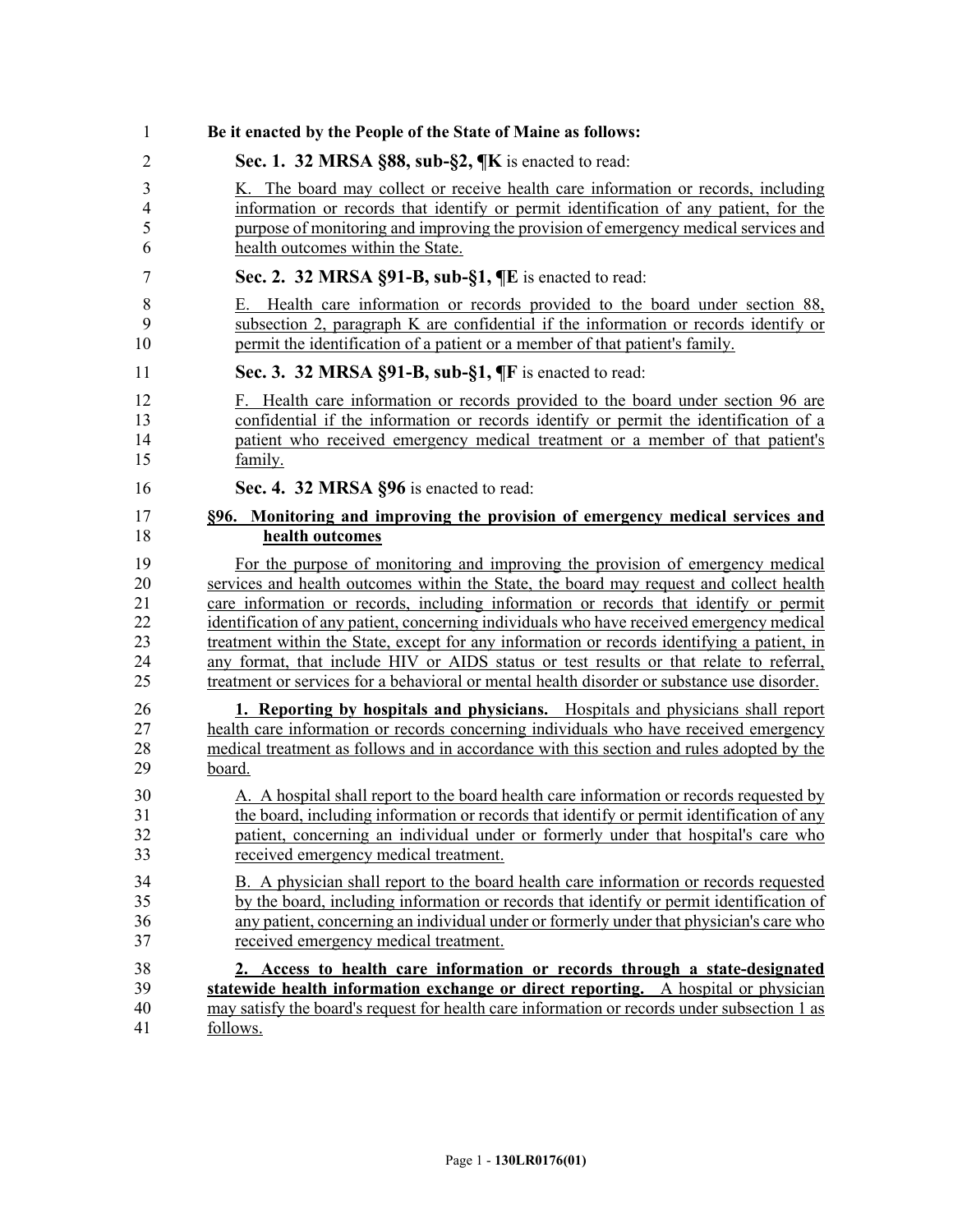| 1              | Be it enacted by the People of the State of Maine as follows:                                |
|----------------|----------------------------------------------------------------------------------------------|
| $\overline{2}$ | Sec. 1. 32 MRSA §88, sub-§2, ¶K is enacted to read:                                          |
| 3              | K. The board may collect or receive health care information or records, including            |
| 4              | information or records that identify or permit identification of any patient, for the        |
| 5              | purpose of monitoring and improving the provision of emergency medical services and          |
| 6              | health outcomes within the State.                                                            |
| 7              | Sec. 2. 32 MRSA §91-B, sub-§1, ¶E is enacted to read:                                        |
| 8              | E. Health care information or records provided to the board under section 88,                |
| 9              | subsection 2, paragraph K are confidential if the information or records identify or         |
| 10             | permit the identification of a patient or a member of that patient's family.                 |
| 11             | Sec. 3. 32 MRSA §91-B, sub-§1, ¶F is enacted to read:                                        |
| 12             | F. Health care information or records provided to the board under section 96 are             |
| 13             | confidential if the information or records identify or permit the identification of a        |
| 14             | patient who received emergency medical treatment or a member of that patient's               |
| 15             | family.                                                                                      |
| 16             | Sec. 4. 32 MRSA §96 is enacted to read:                                                      |
| 17             | §96. Monitoring and improving the provision of emergency medical services and                |
| 18             | health outcomes                                                                              |
| 19             | For the purpose of monitoring and improving the provision of emergency medical               |
| 20             | services and health outcomes within the State, the board may request and collect health      |
| 21             | care information or records, including information or records that identify or permit        |
| 22             | identification of any patient, concerning individuals who have received emergency medical    |
| 23             | treatment within the State, except for any information or records identifying a patient, in  |
| 24             | any format, that include HIV or AIDS status or test results or that relate to referral,      |
| 25             | treatment or services for a behavioral or mental health disorder or substance use disorder.  |
| 26             | 1. Reporting by hospitals and physicians. Hospitals and physicians shall report              |
| 27             | health care information or records concerning individuals who have received emergency        |
| 28             | medical treatment as follows and in accordance with this section and rules adopted by the    |
| 29             | <u>board.</u>                                                                                |
| 30             | A. A hospital shall report to the board health care information or records requested by      |
| 31             | the board, including information or records that identify or permit identification of any    |
| 32             | patient, concerning an individual under or formerly under that hospital's care who           |
| 33             | received emergency medical treatment.                                                        |
| 34             | B. A physician shall report to the board health care information or records requested        |
| 35             | by the board, including information or records that identify or permit identification of     |
| 36             | any patient, concerning an individual under or formerly under that physician's care who      |
| 37             | received emergency medical treatment.                                                        |
| 38             | 2. Access to health care information or records through a state-designated                   |
| 39             | statewide health information exchange or direct reporting. A hospital or physician           |
| 40             | may satisfy the board's request for health care information or records under subsection 1 as |
| 41             | follows.                                                                                     |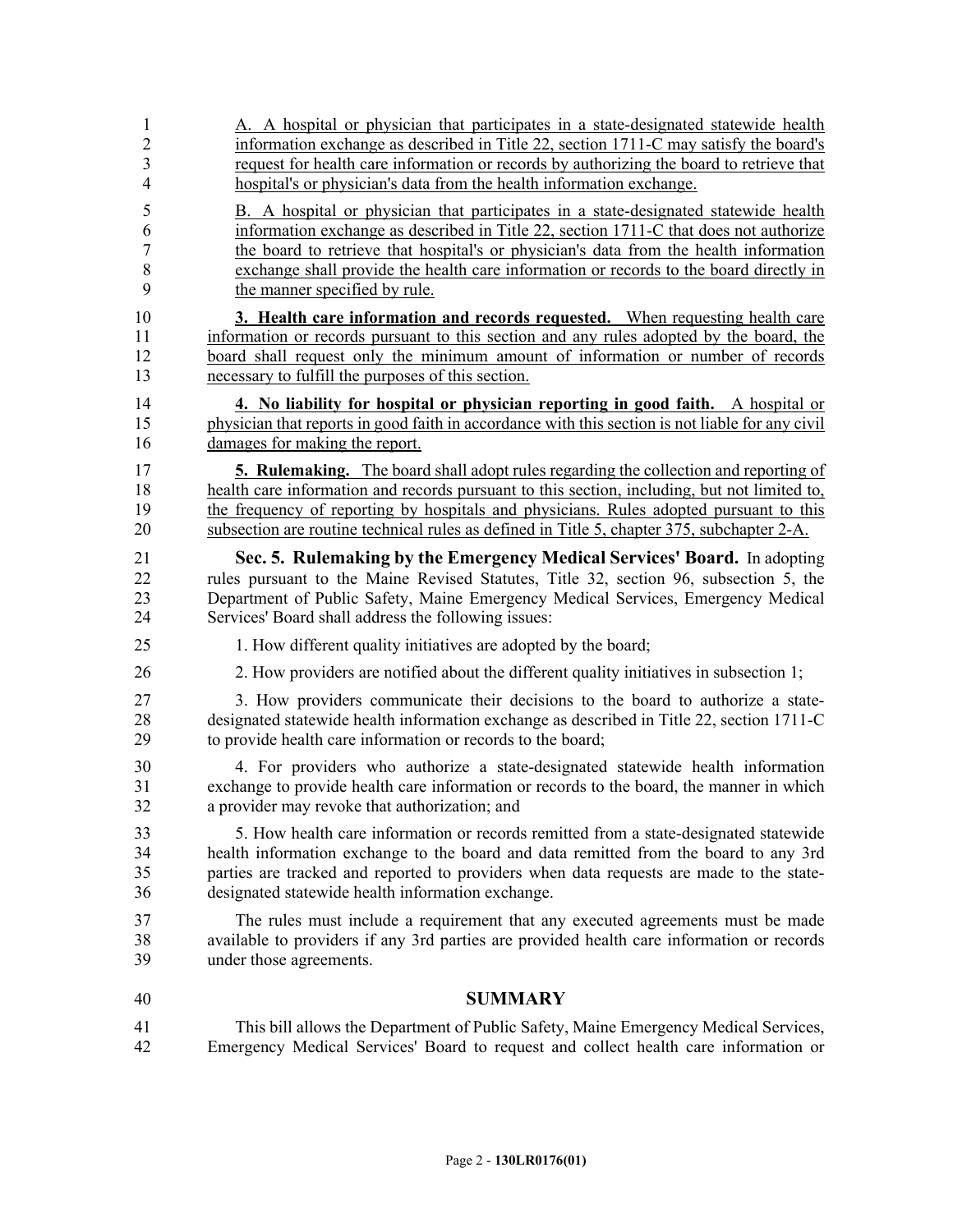| $\mathbf{1}$   | A. A hospital or physician that participates in a state-designated statewide health              |
|----------------|--------------------------------------------------------------------------------------------------|
| $\sqrt{2}$     | information exchange as described in Title 22, section 1711-C may satisfy the board's            |
| 3              | request for health care information or records by authorizing the board to retrieve that         |
| $\overline{4}$ | hospital's or physician's data from the health information exchange.                             |
| 5              | B. A hospital or physician that participates in a state-designated statewide health              |
| 6              | information exchange as described in Title 22, section 1711-C that does not authorize            |
| $\tau$         | the board to retrieve that hospital's or physician's data from the health information            |
| $\,8\,$        | exchange shall provide the health care information or records to the board directly in           |
| 9              | the manner specified by rule.                                                                    |
| 10             | 3. Health care information and records requested. When requesting health care                    |
| 11             | information or records pursuant to this section and any rules adopted by the board, the          |
| 12             | board shall request only the minimum amount of information or number of records                  |
| 13             | necessary to fulfill the purposes of this section.                                               |
| 14             | 4. No liability for hospital or physician reporting in good faith. A hospital or                 |
| 15             | physician that reports in good faith in accordance with this section is not liable for any civil |
| 16             | damages for making the report.                                                                   |
| 17             | <b>5. Rulemaking.</b> The board shall adopt rules regarding the collection and reporting of      |
| 18             | health care information and records pursuant to this section, including, but not limited to,     |
| 19             | the frequency of reporting by hospitals and physicians. Rules adopted pursuant to this           |
| 20             | subsection are routine technical rules as defined in Title 5, chapter 375, subchapter 2-A.       |
| 21             | Sec. 5. Rulemaking by the Emergency Medical Services' Board. In adopting                         |
| 22             | rules pursuant to the Maine Revised Statutes, Title 32, section 96, subsection 5, the            |
| 23             | Department of Public Safety, Maine Emergency Medical Services, Emergency Medical                 |
| 24             | Services' Board shall address the following issues:                                              |
| 25             | 1. How different quality initiatives are adopted by the board;                                   |
| 26             | 2. How providers are notified about the different quality initiatives in subsection 1;           |
| 27             | 3. How providers communicate their decisions to the board to authorize a state-                  |
| 28             | designated statewide health information exchange as described in Title 22, section 1711-C        |
| 29             | to provide health care information or records to the board;                                      |
| 30             | 4. For providers who authorize a state-designated statewide health information                   |
| 31             | exchange to provide health care information or records to the board, the manner in which         |
| 32             | a provider may revoke that authorization; and                                                    |
| 33             | 5. How health care information or records remitted from a state-designated statewide             |
| 34             | health information exchange to the board and data remitted from the board to any 3rd             |
| 35             | parties are tracked and reported to providers when data requests are made to the state-          |
| 36             | designated statewide health information exchange.                                                |
| 37             | The rules must include a requirement that any executed agreements must be made                   |
| 38             | available to providers if any 3rd parties are provided health care information or records        |
| 39             | under those agreements.                                                                          |
| 40             | <b>SUMMARY</b>                                                                                   |
| 41             | This bill allows the Department of Public Safety, Maine Emergency Medical Services,              |
| 42             | Emergency Medical Services' Board to request and collect health care information or              |